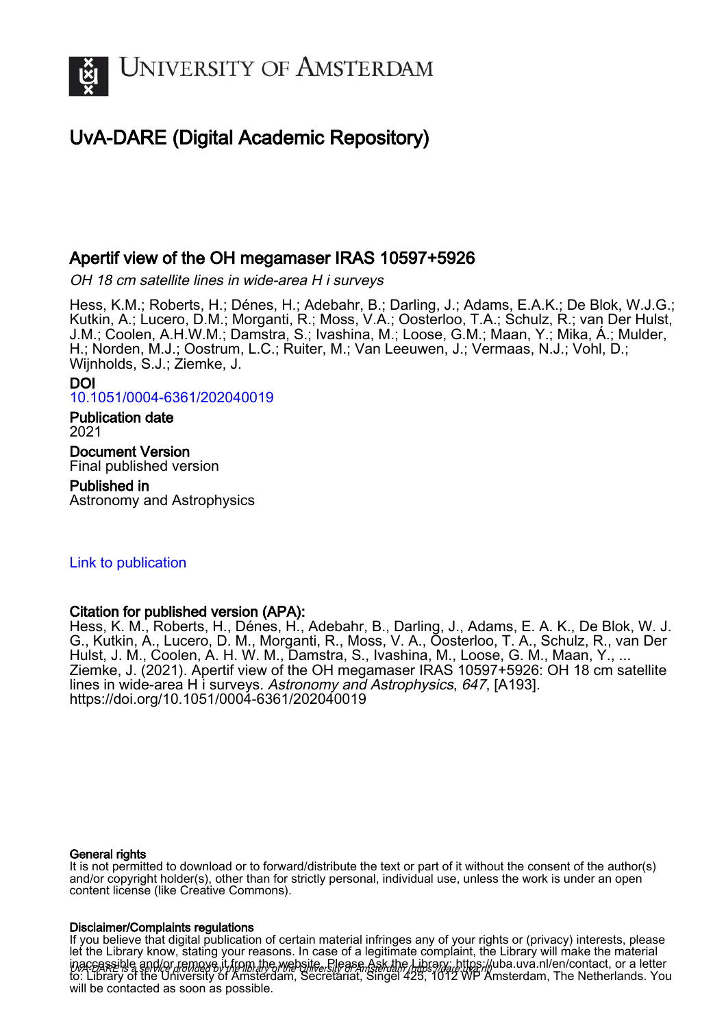

# UvA-DARE (Digital Academic Repository)

# Apertif view of the OH megamaser IRAS 10597+5926

OH 18 cm satellite lines in wide-area H i surveys

Hess, K.M.; Roberts, H.; Dénes, H.; Adebahr, B.; Darling, J.; Adams, E.A.K.; De Blok, W.J.G.; Kutkin, A.; Lucero, D.M.; Morganti, R.; Moss, V.A.; Oosterloo, T.A.; Schulz, R.; van Der Hulst, J.M.; Coolen, A.H.W.M.; Damstra, S.; Ivashina, M.; Loose, G.M.; Maan, Y.; Mika, Á.; Mulder, H.; Norden, M.J.; Oostrum, L.C.; Ruiter, M.; Van Leeuwen, J.; Vermaas, N.J.; Vohl, D.; Wijnholds, S.J.; Ziemke, J.

#### DOI [10.1051/0004-6361/202040019](https://doi.org/10.1051/0004-6361/202040019)

Publication date 2021

Document Version Final published version

# Published in

Astronomy and Astrophysics

# [Link to publication](https://dare.uva.nl/personal/pure/en/publications/apertif-view-of-the-oh-megamaser-iras-105975926(adc378f3-ca9f-4d94-a52e-25986639ee41).html)

# Citation for published version (APA):

Hess, K. M., Roberts, H., Dénès, H., Adebahr, B., Darling, J., Adams, E. A. K., De Blok, W. J. G., Kutkin, A., Lucero, D. M., Morganti, R., Moss, V. A., Oosterloo, T. A., Schulz, R., van Der Hulst, J. M., Coolen, A. H. W. M., Damstra, S., Ivashina, M., Loose, G. M., Maan, Y., ... Ziemke, J. (2021). Apertif view of the OH megamaser IRAS 10597+5926: OH 18 cm satellite lines in wide-area H i surveys. Astronomy and Astrophysics, 647, [A193]. <https://doi.org/10.1051/0004-6361/202040019>

## General rights

It is not permitted to download or to forward/distribute the text or part of it without the consent of the author(s) and/or copyright holder(s), other than for strictly personal, individual use, unless the work is under an open content license (like Creative Commons).

## Disclaimer/Complaints regulations

inaccessible and/or remove it from the website. Please Ask the Library: https://uba.uva.nl/en/contact, or a letter If you believe that digital publication of certain material infringes any of your rights or (privacy) interests, please let the Library know, stating your reasons. In case of a legitimate complaint, the Library will make the material to: Library of the University of Amsterdam, Secretariat, Singel 425, 1012 WP Amsterdam, The Netherlands. You will be contacted as soon as possible.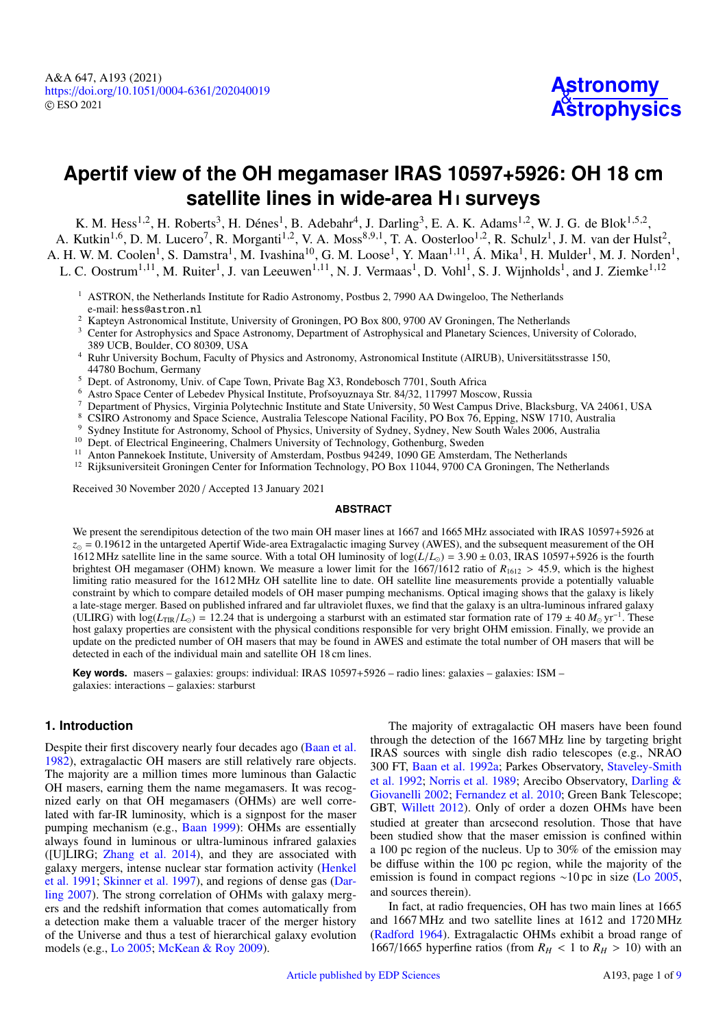# <span id="page-1-12"></span>**Apertif view of the OH megamaser IRAS 10597+5926: OH 18 cm satellite lines in wide-area H** i **surveys**

K. M. Hess<sup>[1](#page-1-0)[,2](#page-1-1)</sup>, H. Roberts<sup>[3](#page-1-2)</sup>, H. Dénes<sup>1</sup>, B. Adebahr<sup>[4](#page-1-3)</sup>, J. Darling<sup>3</sup>, E. A. K. Adams<sup>1,2</sup>, W. J. G. de Blok<sup>1[,5](#page-1-4),2</sup>, A. Kutkin<sup>[1](#page-1-0)[,6](#page-1-5)</sup>, D. M. Lucero<sup>[7](#page-1-6)</sup>, R. Morganti<sup>1[,2](#page-1-1)</sup>, V. A. Moss<sup>[8](#page-1-7)[,9](#page-1-8)[,1](#page-1-0)</sup>, T. A. Oosterloo<sup>1,[2](#page-1-1)</sup>, R. Schulz<sup>1</sup>, J. M. van der Hulst<sup>2</sup>, A. H. W. M. Coolen<sup>[1](#page-1-0)</sup>, S. Damstra<sup>1</sup>, M. Ivashina<sup>[10](#page-1-9)</sup>, G. M. Loose<sup>1</sup>, Y. Maan<sup>1[,11](#page-1-10)</sup>, Á. Mika<sup>1</sup>, H. Mulder<sup>1</sup>, M. J. Norden<sup>1</sup>, L. C. Oostrum<sup>[1](#page-1-0)[,11](#page-1-10)</sup>, M. Ruiter<sup>1</sup>, J. van Leeuwen<sup>1,11</sup>, N. J. Vermaas<sup>1</sup>, D. Vohl<sup>1</sup>, S. J. Wijnholds<sup>1</sup>, and J. Ziemke<sup>1[,12](#page-1-11)</sup>

- <span id="page-1-0"></span><sup>1</sup> ASTRON, the Netherlands Institute for Radio Astronomy, Postbus 2, 7990 AA Dwingeloo, The Netherlands e-mail: hess@astron.nl
- <span id="page-1-1"></span><sup>2</sup> Kapteyn Astronomical Institute, University of Groningen, PO Box 800, 9700 AV Groningen, The Netherlands
- <span id="page-1-2"></span><sup>3</sup> Center for Astrophysics and Space Astronomy, Department of Astrophysical and Planetary Sciences, University of Colorado, 389 UCB, Boulder, CO 80309, USA
- <span id="page-1-3"></span><sup>4</sup> Ruhr University Bochum, Faculty of Physics and Astronomy, Astronomical Institute (AIRUB), Universitätsstrasse 150, 44780 Bochum, Germany
- <span id="page-1-4"></span><sup>5</sup> Dept. of Astronomy, Univ. of Cape Town, Private Bag X3, Rondebosch 7701, South Africa
- <span id="page-1-5"></span><sup>6</sup> Astro Space Center of Lebedev Physical Institute, Profsoyuznaya Str. 84/32, 117997 Moscow, Russia
- <span id="page-1-6"></span><sup>7</sup> Department of Physics, Virginia Polytechnic Institute and State University, 50 West Campus Drive, Blacksburg, VA 24061, USA
- <sup>8</sup> CSIRO Astronomy and Space Science, Australia Telescope National Facility, PO Box 76, Epping, NSW 1710, Australia
- <span id="page-1-8"></span><span id="page-1-7"></span><sup>9</sup> Sydney Institute for Astronomy, School of Physics, University of Sydney, Sydney, New South Wales 2006, Australia
- <span id="page-1-9"></span><sup>10</sup> Dept. of Electrical Engineering, Chalmers University of Technology, Gothenburg, Sweden
- <span id="page-1-10"></span><sup>11</sup> Anton Pannekoek Institute, University of Amsterdam, Postbus 94249, 1090 GE Amsterdam, The Netherlands
- <span id="page-1-11"></span><sup>12</sup> Rijksuniversiteit Groningen Center for Information Technology, PO Box 11044, 9700 CA Groningen, The Netherlands

Received 30 November 2020 / Accepted 13 January 2021

#### **ABSTRACT**

We present the serendipitous detection of the two main OH maser lines at 1667 and 1665 MHz associated with IRAS 10597+5926 at  $z_{\odot}$  = 0.19612 in the untargeted Apertif Wide-area Extragalactic imaging Survey (AWES), and the subsequent measurement of the OH 1612 MHz satellite line in the same source. With a total OH luminosity of  $log(L/L_{\odot}) = 3.90 \pm 0.03$ , IRAS 10597+5926 is the fourth brightest OH megamaser (OHM) known. We measure a lower limit for the 1667/1612 ratio of  $R_{1612} > 45.9$ , which is the highest limiting ratio measured for the 1612 MHz OH satellite line to date. OH satellite line measurements provide a potentially valuable constraint by which to compare detailed models of OH maser pumping mechanisms. Optical imaging shows that the galaxy is likely a late-stage merger. Based on published infrared and far ultraviolet fluxes, we find that the galaxy is an ultra-luminous infrared galaxy (ULIRG) with  $\log(L_{TR}/L_{\odot}) = 12.24$  that is undergoing a starburst with an estimated star formation rate of 179 ± 40  $M_{\odot}$  yr<sup>-1</sup>. These host galaxy properties are consistent with the physical conditions responsible for host galaxy properties are consistent with the physical conditions responsible for very bright OHM emission. Finally, we provide an update on the predicted number of OH masers that may be found in AWES and estimate the total number of OH masers that will be detected in each of the individual main and satellite OH 18 cm lines.

**Key words.** masers – galaxies: groups: individual: IRAS 10597+5926 – radio lines: galaxies – galaxies: ISM – galaxies: interactions – galaxies: starburst

#### **1. Introduction**

Despite their first discovery nearly four decades ago [\(Baan et al.](#page-7-0) [1982\)](#page-7-0), extragalactic OH masers are still relatively rare objects. The majority are a million times more luminous than Galactic OH masers, earning them the name megamasers. It was recognized early on that OH megamasers (OHMs) are well correlated with far-IR luminosity, which is a signpost for the maser pumping mechanism (e.g., [Baan](#page-7-1) [1999\)](#page-7-1): OHMs are essentially always found in luminous or ultra-luminous infrared galaxies ([U]LIRG; [Zhang et al.](#page-7-2) [2014\)](#page-7-2), and they are associated with galaxy mergers, intense nuclear star formation activity [\(Henkel](#page-7-3) [et al.](#page-7-3) [1991;](#page-7-3) [Skinner et al.](#page-7-4) [1997\)](#page-7-4), and regions of dense gas [\(Dar](#page-7-5)[ling](#page-7-5) [2007\)](#page-7-5). The strong correlation of OHMs with galaxy mergers and the redshift information that comes automatically from a detection make them a valuable tracer of the merger history of the Universe and thus a test of hierarchical galaxy evolution models (e.g., [Lo](#page-7-6) [2005;](#page-7-6) [McKean & Roy](#page-7-7) [2009\)](#page-7-7).

The majority of extragalactic OH masers have been found through the detection of the 1667 MHz line by targeting bright IRAS sources with single dish radio telescopes (e.g., NRAO 300 FT, [Baan et al.](#page-7-8) [1992a;](#page-7-8) Parkes Observatory, [Staveley-Smith](#page-7-9) [et al.](#page-7-9) [1992;](#page-7-9) [Norris et al.](#page-7-10) [1989;](#page-7-10) Arecibo Observatory, [Darling &](#page-7-11) [Giovanelli](#page-7-11) [2002;](#page-7-11) [Fernandez et al.](#page-7-12) [2010;](#page-7-12) Green Bank Telescope; GBT, [Willett](#page-7-13) [2012\)](#page-7-13). Only of order a dozen OHMs have been studied at greater than arcsecond resolution. Those that have been studied show that the maser emission is confined within a 100 pc region of the nucleus. Up to 30% of the emission may be diffuse within the 100 pc region, while the majority of the emission is found in compact regions ∼10 pc in size [\(Lo](#page-7-6) [2005,](#page-7-6) and sources therein).

In fact, at radio frequencies, OH has two main lines at 1665 and 1667 MHz and two satellite lines at 1612 and 1720 MHz [\(Radford](#page-7-14) [1964\)](#page-7-14). Extragalactic OHMs exhibit a broad range of 1667/1665 hyperfine ratios (from  $R_H$  < 1 to  $R_H$  > 10) with an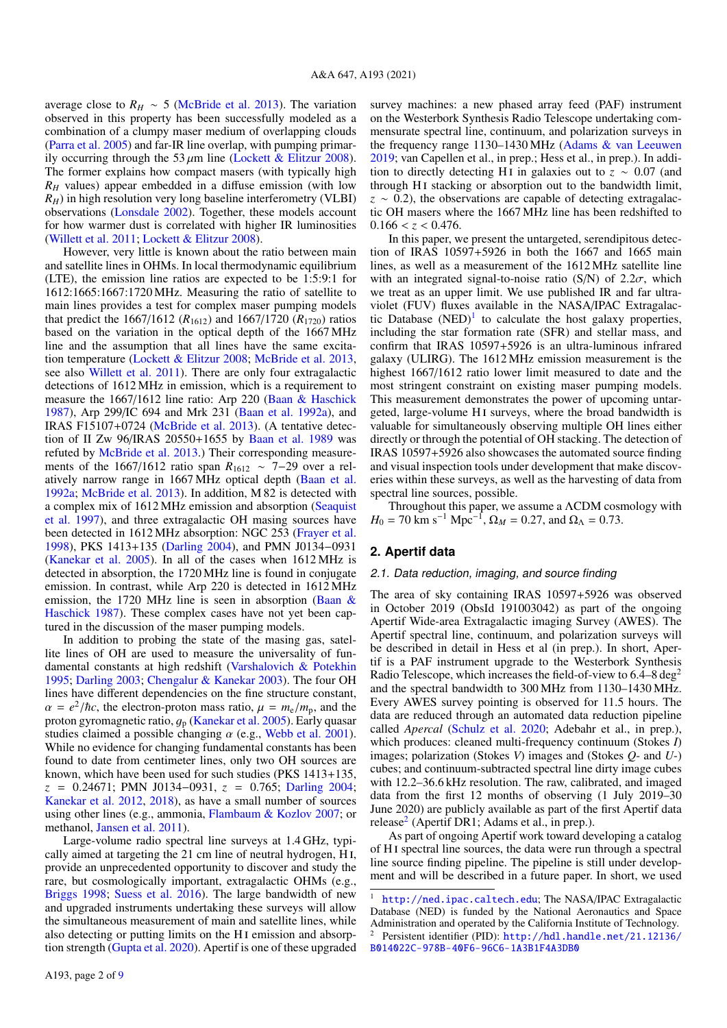average close to  $R_H \sim 5$  [\(McBride et al.](#page-7-15) [2013\)](#page-7-15). The variation observed in this property has been successfully modeled as a combination of a clumpy maser medium of overlapping clouds [\(Parra et al.](#page-7-16) [2005\)](#page-7-16) and far-IR line overlap, with pumping primarily occurring through the 53  $\mu$ m line [\(Lockett & Elitzur](#page-7-17) [2008\)](#page-7-17). The former explains how compact masers (with typically high *R<sup>H</sup>* values) appear embedded in a diffuse emission (with low *RH*) in high resolution very long baseline interferometry (VLBI) observations [\(Lonsdale](#page-7-18) [2002\)](#page-7-18). Together, these models account for how warmer dust is correlated with higher IR luminosities [\(Willett et al.](#page-7-19) [2011;](#page-7-19) [Lockett & Elitzur](#page-7-17) [2008\)](#page-7-17).

However, very little is known about the ratio between main and satellite lines in OHMs. In local thermodynamic equilibrium (LTE), the emission line ratios are expected to be 1:5:9:1 for 1612:1665:1667:1720 MHz. Measuring the ratio of satellite to main lines provides a test for complex maser pumping models that predict the 1667/1612 ( $R_{1612}$ ) and 1667/1720 ( $R_{1720}$ ) ratios based on the variation in the optical depth of the 1667 MHz line and the assumption that all lines have the same excitation temperature [\(Lockett & Elitzur](#page-7-17) [2008;](#page-7-17) [McBride et al.](#page-7-15) [2013,](#page-7-15) see also [Willett et al.](#page-7-19) [2011\)](#page-7-19). There are only four extragalactic detections of 1612 MHz in emission, which is a requirement to measure the 1667/1612 line ratio: Arp 220 [\(Baan & Haschick](#page-7-20) [1987\)](#page-7-20), Arp 299/IC 694 and Mrk 231 [\(Baan et al.](#page-7-8) [1992a\)](#page-7-8), and IRAS F15107+0724 [\(McBride et al.](#page-7-15) [2013\)](#page-7-15). (A tentative detection of II Zw 96/IRAS 20550+1655 by [Baan et al.](#page-7-21) [1989](#page-7-21) was refuted by [McBride et al.](#page-7-15) [2013.](#page-7-15)) Their corresponding measurements of the 1667/1612 ratio span *R*<sup>1612</sup> ∼ 7−29 over a relatively narrow range in 1667 MHz optical depth [\(Baan et al.](#page-7-8) [1992a;](#page-7-8) [McBride et al.](#page-7-15) [2013\)](#page-7-15). In addition, M 82 is detected with a complex mix of 1612 MHz emission and absorption [\(Seaquist](#page-7-22) [et al.](#page-7-22) [1997\)](#page-7-22), and three extragalactic OH masing sources have been detected in 1612 MHz absorption: NGC 253 [\(Frayer et al.](#page-7-23) [1998\)](#page-7-23), PKS 1413+135 [\(Darling](#page-7-24) [2004\)](#page-7-24), and PMN J0134−0931 [\(Kanekar et al.](#page-7-25) [2005\)](#page-7-25). In all of the cases when 1612 MHz is detected in absorption, the 1720 MHz line is found in conjugate emission. In contrast, while Arp 220 is detected in 1612 MHz emission, the 1720 MHz line is seen in absorption [\(Baan &](#page-7-20) [Haschick](#page-7-20) [1987\)](#page-7-20). These complex cases have not yet been captured in the discussion of the maser pumping models.

In addition to probing the state of the masing gas, satellite lines of OH are used to measure the universality of fundamental constants at high redshift [\(Varshalovich & Potekhin](#page-7-26) [1995;](#page-7-26) [Darling](#page-7-27) [2003;](#page-7-27) [Chengalur & Kanekar](#page-7-28) [2003\)](#page-7-28). The four OH lines have different dependencies on the fine structure constant,  $\alpha = e^2/\hbar c$ , the electron-proton mass ratio,  $\mu = m_e/m_p$ , and the proton gyromagnetic ratio  $a_e$  (Kanekar et al. 2005). Early quasar proton gyromagnetic ratio,  $g_p$  [\(Kanekar et al.](#page-7-25) [2005\)](#page-7-25). Early quasar studies claimed a possible changing  $\alpha$  (e.g., [Webb et al.](#page-7-29) [2001\)](#page-7-29). While no evidence for changing fundamental constants has been found to date from centimeter lines, only two OH sources are known, which have been used for such studies (PKS 1413+135, *<sup>z</sup>* <sup>=</sup> <sup>0</sup>.24671; PMN J0134−0931, *<sup>z</sup>* <sup>=</sup> <sup>0</sup>.765; [Darling](#page-7-24) [2004;](#page-7-24) [Kanekar et al.](#page-7-30) [2012,](#page-7-30) [2018\)](#page-7-31), as have a small number of sources using other lines (e.g., ammonia, [Flambaum & Kozlov](#page-7-32) [2007;](#page-7-32) or methanol, [Jansen et al.](#page-7-33) [2011\)](#page-7-33).

Large-volume radio spectral line surveys at 1.4 GHz, typically aimed at targeting the 21 cm line of neutral hydrogen, H i, provide an unprecedented opportunity to discover and study the rare, but cosmologically important, extragalactic OHMs (e.g., [Briggs](#page-7-34) [1998;](#page-7-34) [Suess et al.](#page-7-35) [2016\)](#page-7-35). The large bandwidth of new and upgraded instruments undertaking these surveys will allow the simultaneous measurement of main and satellite lines, while also detecting or putting limits on the H<sub>I</sub> emission and absorption strength [\(Gupta et al.](#page-7-36) [2020\)](#page-7-36). Apertif is one of these upgraded survey machines: a new phased array feed (PAF) instrument on the Westerbork Synthesis Radio Telescope undertaking commensurate spectral line, continuum, and polarization surveys in the frequency range 1130–1430 MHz [\(Adams & van Leeuwen](#page-7-37) [2019;](#page-7-37) van Capellen et al., in prep.; Hess et al., in prep.). In addition to directly detecting H<sub>I</sub> in galaxies out to  $z \sim 0.07$  (and through HI stacking or absorption out to the bandwidth limit,  $z \sim 0.2$ ), the observations are capable of detecting extragalactic OH masers where the 1667 MHz line has been redshifted to  $0.166 < z < 0.476$ .

In this paper, we present the untargeted, serendipitous detection of IRAS 10597+5926 in both the 1667 and 1665 main lines, as well as a measurement of the 1612 MHz satellite line with an integrated signal-to-noise ratio (S/N) of  $2.2\sigma$ , which we treat as an upper limit. We use published IR and far ultraviolet (FUV) fluxes available in the NASA/IPAC Extragalactic Database  $(NED)^{1}$  $(NED)^{1}$  $(NED)^{1}$  to calculate the host galaxy properties, including the star formation rate (SFR) and stellar mass, and confirm that IRAS 10597+5926 is an ultra-luminous infrared galaxy (ULIRG). The 1612 MHz emission measurement is the highest 1667/1612 ratio lower limit measured to date and the most stringent constraint on existing maser pumping models. This measurement demonstrates the power of upcoming untargeted, large-volume HI surveys, where the broad bandwidth is valuable for simultaneously observing multiple OH lines either directly or through the potential of OH stacking. The detection of IRAS 10597+5926 also showcases the automated source finding and visual inspection tools under development that make discoveries within these surveys, as well as the harvesting of data from spectral line sources, possible.

Throughout this paper, we assume a ΛCDM cosmology with  $H_0 = 70 \text{ km s}^{-1} \text{ Mpc}^{-1}, \Omega_M = 0.27, \text{ and } \Omega_{\Lambda} = 0.73.$ 

## **2. Apertif data**

#### 2.1. Data reduction, imaging, and source finding

The area of sky containing IRAS 10597+5926 was observed in October 2019 (ObsId 191003042) as part of the ongoing Apertif Wide-area Extragalactic imaging Survey (AWES). The Apertif spectral line, continuum, and polarization surveys will be described in detail in Hess et al (in prep.). In short, Apertif is a PAF instrument upgrade to the Westerbork Synthesis Radio Telescope, which increases the field-of-view to  $6.4-8 \text{ deg}^2$ and the spectral bandwidth to 300 MHz from 1130–1430 MHz. Every AWES survey pointing is observed for 11.5 hours. The data are reduced through an automated data reduction pipeline called *Apercal* [\(Schulz et al.](#page-7-38) [2020;](#page-7-38) Adebahr et al., in prep.), which produces: cleaned multi-frequency continuum (Stokes *I*) images; polarization (Stokes *V*) images and (Stokes *Q*- and *U*-) cubes; and continuum-subtracted spectral line dirty image cubes with 12.2–36.6 kHz resolution. The raw, calibrated, and imaged data from the first 12 months of observing (1 July 2019–30 June 2020) are publicly available as part of the first Apertif data release<sup>[2](#page-2-1)</sup> (Apertif DR1; Adams et al., in prep.).

As part of ongoing Apertif work toward developing a catalog of H i spectral line sources, the data were run through a spectral line source finding pipeline. The pipeline is still under development and will be described in a future paper. In short, we used

<span id="page-2-1"></span><span id="page-2-0"></span><http://ned.ipac.caltech.edu>; The NASA/IPAC Extragalactic Database (NED) is funded by the National Aeronautics and Space Administration and operated by the California Institute of Technology. <sup>2</sup> Persistent identifier (PID): [http://hdl.handle.net/21.12136/](http://hdl.handle.net/21.12136/B014022C-978B-40F6-96C6-1A3B1F4A3DB0) [B014022C-978B-40F6-96C6-1A3B1F4A3DB0](http://hdl.handle.net/21.12136/B014022C-978B-40F6-96C6-1A3B1F4A3DB0)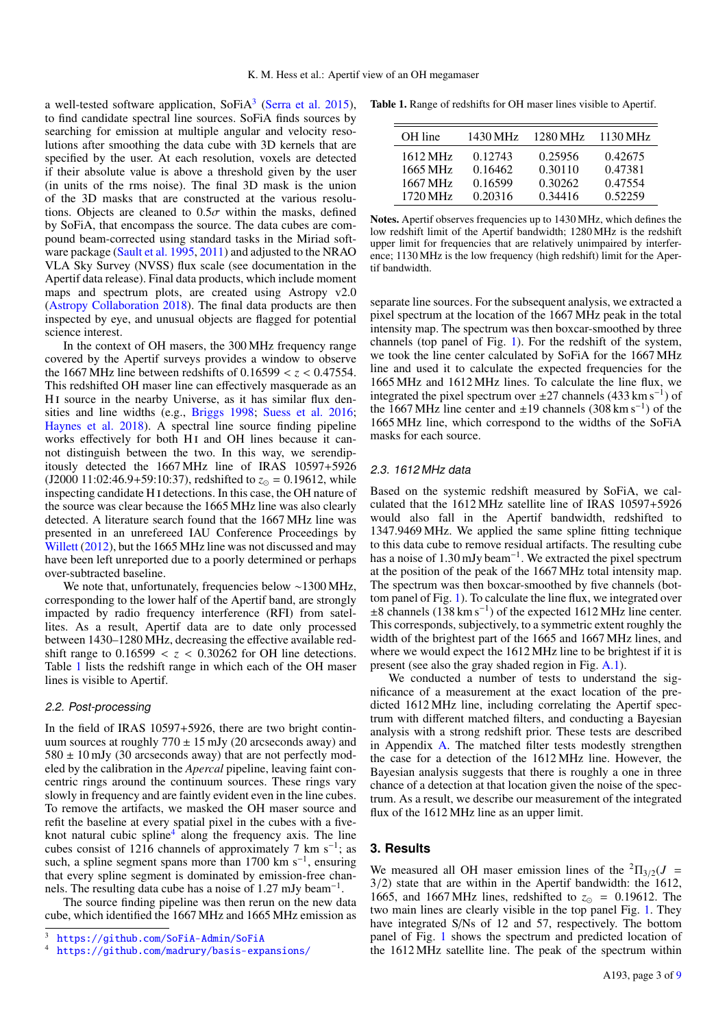a well-tested software application, SoFiA<sup>[3](#page-3-0)</sup> [\(Serra et al.](#page-7-39) [2015\)](#page-7-39), to find candidate spectral line sources. SoFiA finds sources by searching for emission at multiple angular and velocity resolutions after smoothing the data cube with 3D kernels that are specified by the user. At each resolution, voxels are detected if their absolute value is above a threshold given by the user (in units of the rms noise). The final 3D mask is the union of the 3D masks that are constructed at the various resolutions. Objects are cleaned to  $0.5\sigma$  within the masks, defined by SoFiA, that encompass the source. The data cubes are compound beam-corrected using standard tasks in the Miriad software package [\(Sault et al.](#page-7-40) [1995,](#page-7-40) [2011\)](#page-7-41) and adjusted to the NRAO VLA Sky Survey (NVSS) flux scale (see documentation in the Apertif data release). Final data products, which include moment maps and spectrum plots, are created using Astropy v2.0 [\(Astropy Collaboration](#page-7-42) [2018\)](#page-7-42). The final data products are then inspected by eye, and unusual objects are flagged for potential science interest.

In the context of OH masers, the 300 MHz frequency range covered by the Apertif surveys provides a window to observe the 1667 MHz line between redshifts of  $0.16599 < z < 0.47554$ . This redshifted OH maser line can effectively masquerade as an H<sub>I</sub> source in the nearby Universe, as it has similar flux densities and line widths (e.g., [Briggs](#page-7-34) [1998;](#page-7-34) [Suess et al.](#page-7-35) [2016;](#page-7-35) [Haynes et al.](#page-7-43) [2018\)](#page-7-43). A spectral line source finding pipeline works effectively for both HI and OH lines because it cannot distinguish between the two. In this way, we serendipitously detected the 1667 MHz line of IRAS 10597+5926  $(J2000\ 11:02:46.9+59:10:37)$ , redshifted to  $z_{\odot} = 0.19612$ , while inspecting candidate H i detections. In this case, the OH nature of the source was clear because the 1665 MHz line was also clearly detected. A literature search found that the 1667 MHz line was presented in an unrefereed IAU Conference Proceedings by [Willett](#page-7-13) [\(2012\)](#page-7-13), but the 1665 MHz line was not discussed and may have been left unreported due to a poorly determined or perhaps over-subtracted baseline.

We note that, unfortunately, frequencies below ∼1300 MHz, corresponding to the lower half of the Apertif band, are strongly impacted by radio frequency interference (RFI) from satellites. As a result, Apertif data are to date only processed between 1430–1280 MHz, decreasing the effective available redshift range to  $0.16599 < z < 0.30262$  for OH line detections. Table [1](#page-3-1) lists the redshift range in which each of the OH maser lines is visible to Apertif.

#### 2.2. Post-processing

In the field of IRAS 10597+5926, there are two bright continuum sources at roughly  $770 \pm 15$  mJy (20 arcseconds away) and  $580 \pm 10$  mJy (30 arcseconds away) that are not perfectly modeled by the calibration in the *Apercal* pipeline, leaving faint concentric rings around the continuum sources. These rings vary slowly in frequency and are faintly evident even in the line cubes. To remove the artifacts, we masked the OH maser source and refit the baseline at every spatial pixel in the cubes with a five-knot natural cubic spline<sup>[4](#page-3-2)</sup> along the frequency axis. The line cubes consist of 1216 channels of approximately 7 km s<sup>-1</sup>; as such, a spline segment spans more than 1700 km s<sup>-1</sup>, ensuring that every spline segment is dominated by emission-free channels. The resulting data cube has a noise of 1.27 mJy beam<sup>-1</sup>.

The source finding pipeline was then rerun on the new data cube, which identified the 1667 MHz and 1665 MHz emission as

Table 1. Range of redshifts for OH maser lines visible to Apertif.

<span id="page-3-1"></span>

| OH line  | 1430 MHz | 1280 MHz | 1130 MHz |
|----------|----------|----------|----------|
| 1612 MHz | 0.12743  | 0.25956  | 0.42675  |
| 1665 MHz | 0.16462  | 0.30110  | 0.47381  |
| 1667 MHz | 0.16599  | 0.30262  | 0.47554  |
| 1720 MHz | 0.20316  | 0.34416  | 0.52259  |

Notes. Apertif observes frequencies up to 1430 MHz, which defines the low redshift limit of the Apertif bandwidth; 1280 MHz is the redshift upper limit for frequencies that are relatively unimpaired by interference; 1130 MHz is the low frequency (high redshift) limit for the Apertif bandwidth.

separate line sources. For the subsequent analysis, we extracted a pixel spectrum at the location of the 1667 MHz peak in the total intensity map. The spectrum was then boxcar-smoothed by three channels (top panel of Fig. [1\)](#page-4-0). For the redshift of the system, we took the line center calculated by SoFiA for the 1667 MHz line and used it to calculate the expected frequencies for the 1665 MHz and 1612 MHz lines. To calculate the line flux, we integrated the pixel spectrum over  $\pm 27$  channels (433 km s<sup>-1</sup>) of the 1667 MHz line center and ±19 channels (308 km s−<sup>1</sup> ) of the 1665 MHz line, which correspond to the widths of the SoFiA masks for each source.

#### 2.3. 1612 MHz data

Based on the systemic redshift measured by SoFiA, we calculated that the 1612 MHz satellite line of IRAS 10597+5926 would also fall in the Apertif bandwidth, redshifted to 1347.9469 MHz. We applied the same spline fitting technique to this data cube to remove residual artifacts. The resulting cube has a noise of 1.30 mJy beam<sup>-1</sup>. We extracted the pixel spectrum at the position of the peak of the 1667 MHz total intensity map. The spectrum was then boxcar-smoothed by five channels (bottom panel of Fig. [1\)](#page-4-0). To calculate the line flux, we integrated over ±8 channels (138 km s<sup>−</sup><sup>1</sup> ) of the expected 1612 MHz line center. This corresponds, subjectively, to a symmetric extent roughly the width of the brightest part of the 1665 and 1667 MHz lines, and where we would expect the 1612 MHz line to be brightest if it is present (see also the gray shaded region in Fig. [A.1\)](#page-9-0).

We conducted a number of tests to understand the significance of a measurement at the exact location of the predicted 1612 MHz line, including correlating the Apertif spectrum with different matched filters, and conducting a Bayesian analysis with a strong redshift prior. These tests are described in Appendix [A.](#page-8-0) The matched filter tests modestly strengthen the case for a detection of the 1612 MHz line. However, the Bayesian analysis suggests that there is roughly a one in three chance of a detection at that location given the noise of the spectrum. As a result, we describe our measurement of the integrated flux of the 1612 MHz line as an upper limit.

#### <span id="page-3-3"></span>**3. Results**

We measured all OH maser emission lines of the  ${}^{2} \Pi_{3/2}(J =$ <sup>3</sup>/2) state that are within in the Apertif bandwidth: the 1612, 1665, and 1667 MHz lines, redshifted to  $z_{\odot} = 0.19612$ . The two main lines are clearly visible in the top panel Fig. [1.](#page-4-0) They have integrated S/Ns of 12 and 57, respectively. The bottom panel of Fig. [1](#page-4-0) shows the spectrum and predicted location of the 1612 MHz satellite line. The peak of the spectrum within

<span id="page-3-0"></span><sup>3</sup> <https://github.com/SoFiA-Admin/SoFiA>

<span id="page-3-2"></span><sup>4</sup> <https://github.com/madrury/basis-expansions/>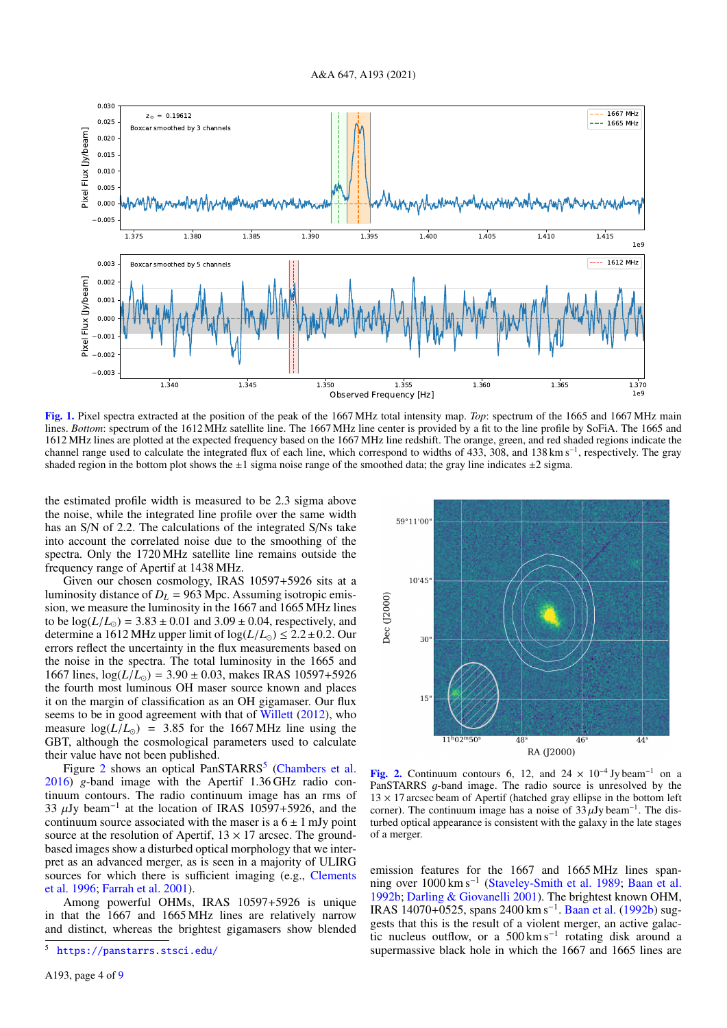

<span id="page-4-0"></span>[Fig. 1.](https://dexter.edpsciences.org/applet.php?DOI=10.1051/0004-6361/202040019&pdf_id=1) Pixel spectra extracted at the position of the peak of the 1667 MHz total intensity map. *Top*: spectrum of the 1665 and 1667 MHz main lines. *Bottom*: spectrum of the 1612 MHz satellite line. The 1667 MHz line center is provided by a fit to the line profile by SoFiA. The 1665 and 1612 MHz lines are plotted at the expected frequency based on the 1667 MHz line redshift. The orange, green, and red shaded regions indicate the channel range used to calculate the integrated flux of each line, which correspond to widths of 433, 308, and 138 km s<sup>−1</sup>, respectively. The gray shaded region in the bottom plot shows the  $\pm 1$  sigma noise range of the smoothed data; the gray line indicates  $\pm 2$  sigma.

the estimated profile width is measured to be 2.3 sigma above the noise, while the integrated line profile over the same width has an S/N of 2.2. The calculations of the integrated S/Ns take into account the correlated noise due to the smoothing of the spectra. Only the 1720 MHz satellite line remains outside the frequency range of Apertif at 1438 MHz.

Given our chosen cosmology, IRAS 10597+5926 sits at a luminosity distance of  $D_L$  = 963 Mpc. Assuming isotropic emission, we measure the luminosity in the 1667 and 1665 MHz lines to be  $log(L/L_{\odot}) = 3.83 \pm 0.01$  and  $3.09 \pm 0.04$ , respectively, and determine a 1612 MHz upper limit of  $log(L/L_{\odot}) \leq 2.2 \pm 0.2$ . Our errors reflect the uncertainty in the flux measurements based on the noise in the spectra. The total luminosity in the 1665 and 1667 lines,  $log(L/L_{\odot}) = 3.90 \pm 0.03$ , makes IRAS 10597+5926 the fourth most luminous OH maser source known and places it on the margin of classification as an OH gigamaser. Our flux seems to be in good agreement with that of [Willett](#page-7-13) [\(2012\)](#page-7-13), who measure  $log(L/L_{\odot})$  = 3.85 for the 1667 MHz line using the GBT, although the cosmological parameters used to calculate their value have not been published.

Figure [2](#page-4-1) shows an optical PanSTARRS<sup>[5](#page-4-2)</sup> [\(Chambers et al.](#page-7-44) [2016\)](#page-7-44) *g*-band image with the Apertif 1.36 GHz radio continuum contours. The radio continuum image has an rms of 33  $\mu$ Jy beam<sup>-1</sup> at the location of IRAS 10597+5926, and the continuum source associated with the maser is a 6 + 1 mJy point continuum source associated with the maser is a  $6 \pm 1$  mJy point source at the resolution of Apertif,  $13 \times 17$  arcsec. The groundbased images show a disturbed optical morphology that we interpret as an advanced merger, as is seen in a majority of ULIRG sources for which there is sufficient imaging (e.g., [Clements](#page-7-45) [et al.](#page-7-45) [1996;](#page-7-45) [Farrah et al.](#page-7-46) [2001\)](#page-7-46).

Among powerful OHMs, IRAS 10597+5926 is unique in that the 1667 and 1665 MHz lines are relatively narrow and distinct, whereas the brightest gigamasers show blended



<span id="page-4-1"></span>[Fig. 2.](https://dexter.edpsciences.org/applet.php?DOI=10.1051/0004-6361/202040019&pdf_id=2) Continuum contours 6, 12, and  $24 \times 10^{-4}$  Jy beam<sup>-1</sup> on a PanSTARRS g-band image. The radio source is unresolved by the  $13 \times 17$  arcsec beam of Apertif (hatched gray ellipse in the bottom left corner). The continuum image has a noise of  $33 \mu$ Jy beam<sup>-1</sup>. The distantined optical appearance is consistent with the galaxy in the late stages turbed optical appearance is consistent with the galaxy in the late stages of a merger.

emission features for the 1667 and 1665 MHz lines span-ning over 1000 km s<sup>-1</sup> [\(Staveley-Smith et al.](#page-7-47) [1989;](#page-7-47) [Baan et al.](#page-7-48) [1992b;](#page-7-48) [Darling & Giovanelli](#page-7-49) [2001\)](#page-7-49). The brightest known OHM, IRAS 14070+0525, spans 2400 km s<sup>-1</sup>. [Baan et al.](#page-7-48) [\(1992b\)](#page-7-48) suggests that this is the result of a violent merger, an active galactic nucleus outflow, or a 500 km s<sup>−</sup><sup>1</sup> rotating disk around a supermassive black hole in which the 1667 and 1665 lines are

<span id="page-4-2"></span><sup>5</sup> <https://panstarrs.stsci.edu/>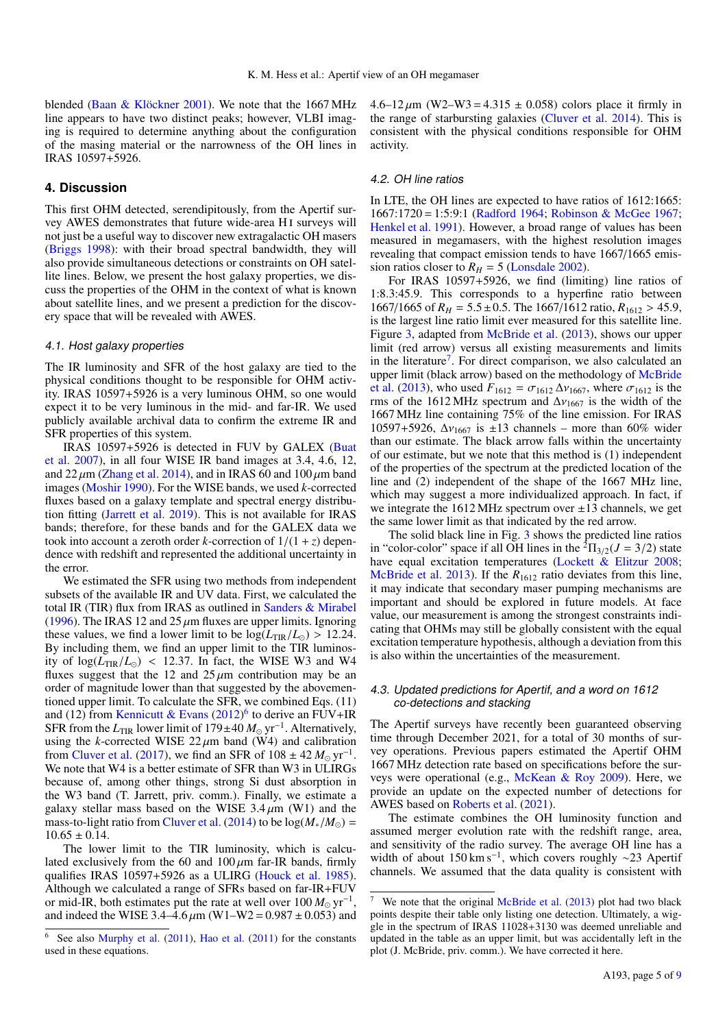blended [\(Baan & Klöckner](#page-7-50) [2001\)](#page-7-50). We note that the 1667 MHz line appears to have two distinct peaks; however, VLBI imaging is required to determine anything about the configuration of the masing material or the narrowness of the OH lines in IRAS 10597+5926.

#### **4. Discussion**

This first OHM detected, serendipitously, from the Apertif survey AWES demonstrates that future wide-area H i surveys will not just be a useful way to discover new extragalactic OH masers [\(Briggs](#page-7-34) [1998\)](#page-7-34): with their broad spectral bandwidth, they will also provide simultaneous detections or constraints on OH satellite lines. Below, we present the host galaxy properties, we discuss the properties of the OHM in the context of what is known about satellite lines, and we present a prediction for the discovery space that will be revealed with AWES.

#### 4.1. Host galaxy properties

The IR luminosity and SFR of the host galaxy are tied to the physical conditions thought to be responsible for OHM activity. IRAS 10597+5926 is a very luminous OHM, so one would expect it to be very luminous in the mid- and far-IR. We used publicly available archival data to confirm the extreme IR and SFR properties of this system.

IRAS 10597+5926 is detected in FUV by GALEX [\(Buat](#page-7-51) [et al.](#page-7-51) [2007\)](#page-7-51), in all four WISE IR band images at 3.4, 4.6, 12, and  $22 \mu$ m [\(Zhang et al.](#page-7-2) [2014\)](#page-7-2), and in IRAS 60 and 100  $\mu$ m band images [\(Moshir](#page-7-52) [1990\)](#page-7-52). For the WISE bands, we used *k*-corrected fluxes based on a galaxy template and spectral energy distribution fitting [\(Jarrett et al.](#page-7-53) [2019\)](#page-7-53). This is not available for IRAS bands; therefore, for these bands and for the GALEX data we took into account a zeroth order *k*-correction of  $1/(1 + z)$  dependence with redshift and represented the additional uncertainty in the error.

We estimated the SFR using two methods from independent subsets of the available IR and UV data. First, we calculated the total IR (TIR) flux from IRAS as outlined in [Sanders & Mirabel](#page-7-54) [\(1996\)](#page-7-54). The IRAS 12 and 25  $\mu$ m fluxes are upper limits. Ignoring these values, we find a lower limit to be  $\log(L_{\text{TIR}}/L_{\odot}) > 12.24$ . By including them, we find an upper limit to the TIR luminosity of  $log(L_{TIR}/L_{\odot})$  < 12.37. In fact, the WISE W3 and W4 fluxes suggest that the 12 and  $25 \mu m$  contribution may be an order of magnitude lower than that suggested by the abovementioned upper limit. To calculate the SFR, we combined Eqs. (11) and (12) from [Kennicutt & Evans](#page-7-55)  $(2012)^6$  $(2012)^6$  $(2012)^6$  to derive an FUV+IR SFR from the *L*<sub>TIR</sub> lower limit of 179±40  $M_{\odot}$  yr<sup>-1</sup>. Alternatively, using the *k*-corrected WISE  $22 \mu m$  band (W4) and calibration from [Cluver et al.](#page-7-56) [\(2017\)](#page-7-56), we find an SFR of  $108 \pm 42 M_{\odot} \text{ yr}^{-1}$ . We note that W4 is a better estimate of SFR than W3 in ULIRGs because of, among other things, strong Si dust absorption in the W3 band (T. Jarrett, priv. comm.). Finally, we estimate a galaxy stellar mass based on the WISE  $3.4 \mu m$  (W1) and the mass-to-light ratio from [Cluver et al.](#page-7-57) [\(2014\)](#page-7-57) to be  $log(M_{*}/M_{\odot})$  =  $10.65 \pm 0.14$ .

The lower limit to the TIR luminosity, which is calculated exclusively from the 60 and  $100 \mu m$  far-IR bands, firmly qualifies IRAS 10597+5926 as a ULIRG [\(Houck et al.](#page-7-58) [1985\)](#page-7-58). Although we calculated a range of SFRs based on far-IR+FUV or mid-IR, both estimates put the rate at well over  $100 M_{\odot} \text{ yr}^{-1}$ , and indeed the WISE 3.4–4.6  $\mu$ m (W1–W2 = 0.987 ± 0.053) and  $4.6-12 \mu m$  (W2–W3 = 4.315  $\pm$  0.058) colors place it firmly in the range of starbursting galaxies [\(Cluver et al.](#page-7-57) [2014\)](#page-7-57). This is consistent with the physical conditions responsible for OHM activity.

#### <span id="page-5-2"></span>4.2. OH line ratios

In LTE, the OH lines are expected to have ratios of 1612:1665: 1667:1720 = 1:5:9:1 [\(Radford](#page-7-14) [1964;](#page-7-14) [Robinson & McGee](#page-7-61) [1967;](#page-7-61) [Henkel et al.](#page-7-3) [1991\)](#page-7-3). However, a broad range of values has been measured in megamasers, with the highest resolution images revealing that compact emission tends to have 1667/1665 emission ratios closer to  $R_H = 5$  [\(Lonsdale](#page-7-18) [2002\)](#page-7-18).

For IRAS 10597+5926, we find (limiting) line ratios of 1:8.3:45.9. This corresponds to a hyperfine ratio between 1667/1665 of  $R_H = 5.5 \pm 0.5$ . The 1667/1612 ratio,  $R_{1612} > 45.9$ , is the largest line ratio limit ever measured for this satellite line. Figure [3,](#page-6-0) adapted from [McBride et al.](#page-7-15) [\(2013\)](#page-7-15), shows our upper limit (red arrow) versus all existing measurements and limits in the literature<sup>[7](#page-5-1)</sup>. For direct comparison, we also calculated an upper limit (black arrow) based on the methodology of [McBride](#page-7-15) [et al.](#page-7-15) [\(2013\)](#page-7-15), who used  $F_{1612} = \sigma_{1612} \Delta v_{1667}$ , where  $\sigma_{1612}$  is the rms of the 1612 MHz spectrum and  $\Delta v_{1667}$  is the width of the 1667 MHz line containing 75% of the line emission. For IRAS 10597+5926,  $\Delta v_{1667}$  is ±13 channels – more than 60% wider than our estimate. The black arrow falls within the uncertainty of our estimate, but we note that this method is (1) independent of the properties of the spectrum at the predicted location of the line and (2) independent of the shape of the 1667 MHz line, which may suggest a more individualized approach. In fact, if we integrate the  $1612 \text{ MHz}$  spectrum over  $\pm 13$  channels, we get the same lower limit as that indicated by the red arrow.

The solid black line in Fig. [3](#page-6-0) shows the predicted line ratios in "color-color" space if all OH lines in the  ${}^{2} \Pi_{3/2}(J = 3/2)$  state have equal excitation temperatures [\(Lockett & Elitzur](#page-7-17) [2008;](#page-7-17) [McBride et al.](#page-7-15) [2013\)](#page-7-15). If the *R*<sub>1612</sub> ratio deviates from this line, it may indicate that secondary maser pumping mechanisms are important and should be explored in future models. At face value, our measurement is among the strongest constraints indicating that OHMs may still be globally consistent with the equal excitation temperature hypothesis, although a deviation from this is also within the uncertainties of the measurement.

#### 4.3. Updated predictions for Apertif, and a word on 1612 co-detections and stacking

The Apertif surveys have recently been guaranteed observing time through December 2021, for a total of 30 months of survey operations. Previous papers estimated the Apertif OHM 1667 MHz detection rate based on specifications before the surveys were operational (e.g., [McKean & Roy](#page-7-7) [2009\)](#page-7-7). Here, we provide an update on the expected number of detections for AWES based on [Roberts et al.](#page-7-62) [\(2021\)](#page-7-62).

The estimate combines the OH luminosity function and assumed merger evolution rate with the redshift range, area, and sensitivity of the radio survey. The average OH line has a width of about 150 km s<sup>-1</sup>, which covers roughly ~23 Apertif channels. We assumed that the data quality is consistent with

<span id="page-5-0"></span>See also [Murphy et al.](#page-7-59) [\(2011\)](#page-7-60), [Hao et al.](#page-7-60) (2011) for the constants used in these equations.

<span id="page-5-1"></span>We note that the original [McBride et al.](#page-7-15) [\(2013\)](#page-7-15) plot had two black points despite their table only listing one detection. Ultimately, a wiggle in the spectrum of IRAS 11028+3130 was deemed unreliable and updated in the table as an upper limit, but was accidentally left in the plot (J. McBride, priv. comm.). We have corrected it here.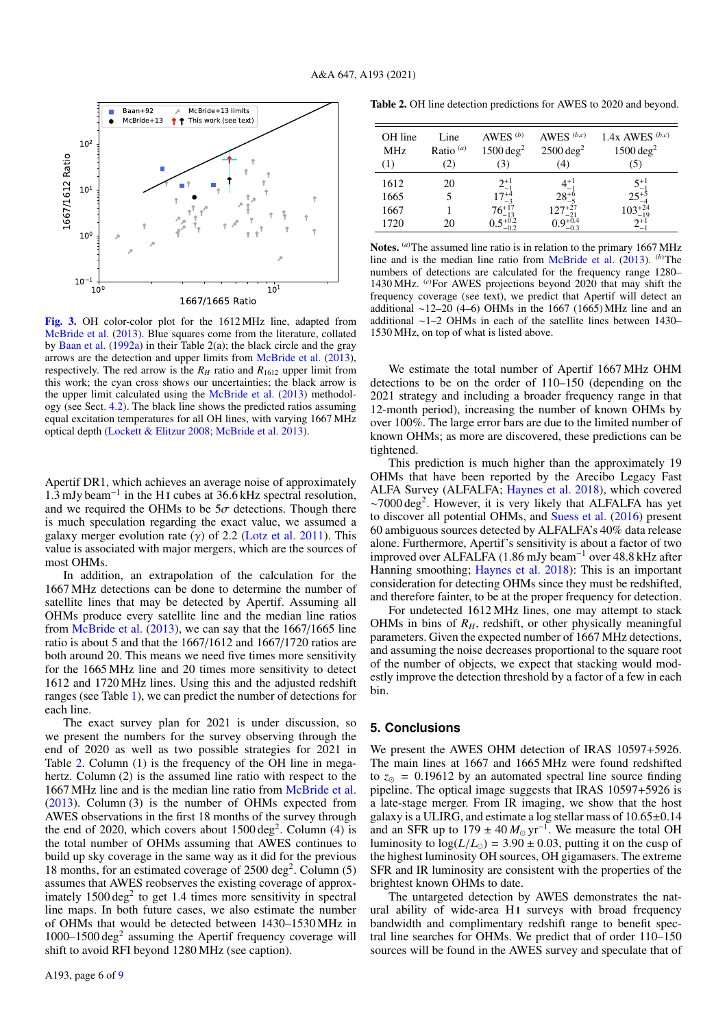

<span id="page-6-0"></span>[Fig. 3.](https://dexter.edpsciences.org/applet.php?DOI=10.1051/0004-6361/202040019&pdf_id=3) OH color-color plot for the 1612 MHz line, adapted from [McBride et al.](#page-7-15) [\(2013\)](#page-7-15). Blue squares come from the literature, collated by [Baan et al.](#page-7-8) [\(1992a\)](#page-7-8) in their Table 2(a); the black circle and the gray arrows are the detection and upper limits from [McBride et al.](#page-7-15) [\(2013\)](#page-7-15), respectively. The red arrow is the  $R_H$  ratio and  $R_{1612}$  upper limit from this work; the cyan cross shows our uncertainties; the black arrow is the upper limit calculated using the [McBride et al.](#page-7-15) [\(2013\)](#page-7-15) methodology (see Sect. [4.2\)](#page-5-2). The black line shows the predicted ratios assuming equal excitation temperatures for all OH lines, with varying 1667 MHz optical depth [\(Lockett & Elitzur](#page-7-17) [2008;](#page-7-17) [McBride et al.](#page-7-15) [2013\)](#page-7-15).

Apertif DR1, which achieves an average noise of approximately 1.3 mJy beam<sup> $-1$ </sup> in the H<sub>I</sub> cubes at 36.6 kHz spectral resolution, and we required the OHMs to be  $5\sigma$  detections. Though there is much speculation regarding the exact value, we assumed a galaxy merger evolution rate  $(y)$  of 2.2 [\(Lotz et al.](#page-7-63) [2011\)](#page-7-63). This value is associated with major mergers, which are the sources of most OHMs.

In addition, an extrapolation of the calculation for the 1667 MHz detections can be done to determine the number of satellite lines that may be detected by Apertif. Assuming all OHMs produce every satellite line and the median line ratios from [McBride et al.](#page-7-15) [\(2013\)](#page-7-15), we can say that the 1667/1665 line ratio is about 5 and that the 1667/1612 and 1667/1720 ratios are both around 20. This means we need five times more sensitivity for the 1665 MHz line and 20 times more sensitivity to detect 1612 and 1720 MHz lines. Using this and the adjusted redshift ranges (see Table [1\)](#page-3-1), we can predict the number of detections for each line.

The exact survey plan for 2021 is under discussion, so we present the numbers for the survey observing through the end of 2020 as well as two possible strategies for 2021 in Table [2.](#page-6-1) Column (1) is the frequency of the OH line in megahertz. Column (2) is the assumed line ratio with respect to the 1667 MHz line and is the median line ratio from [McBride et al.](#page-7-15) [\(2013\)](#page-7-15). Column (3) is the number of OHMs expected from AWES observations in the first 18 months of the survey through the end of 2020, which covers about  $1500 \text{ deg}^2$ . Column (4) is the total number of OHMs assuming that AWES continues to build up sky coverage in the same way as it did for the previous 18 months, for an estimated coverage of 2500 deg<sup>2</sup>. Column (5) assumes that AWES reobserves the existing coverage of approximately  $1500 \text{ deg}^2$  to get 1.4 times more sensitivity in spectral line maps. In both future cases, we also estimate the number of OHMs that would be detected between 1430–1530 MHz in  $1000-1500 \text{ deg}^2$  assuming the Apertif frequency coverage will shift to avoid RFI beyond 1280 MHz (see caption).

<span id="page-6-1"></span>Table 2. OH line detection predictions for AWES to 2020 and beyond.

| OH line<br><b>MHz</b> | Line<br>Ratio $(a)$ | AWES $(b)$<br>$1500 \text{ deg}^2$ | AWES $(b,c)$<br>$2500 \text{ deg}^2$ | 1.4x AWES $(b,c)$<br>$1500 \text{ deg}^2$ |
|-----------------------|---------------------|------------------------------------|--------------------------------------|-------------------------------------------|
| (1)                   | (2)                 | (3)                                | (4)                                  | (5)                                       |
| 1612                  | 20                  | $2^{+1}_{-1}$                      | $4^{+1}_{-1}$                        | $5^{+1}_{-1}$                             |
| 1665                  |                     | $17^{+4}_{-3}$                     | $28^{+6}_{-5}$                       | $25^{+5}$                                 |
| 1667                  |                     | $76^{+17}_{-13}$                   | $127^{+27}_{-21}$                    | $103^{+24}_{-19}$                         |
| 1720                  | 20                  | $0.5_{-0.2}^{+0.2}$                | $0.9_{-0.3}^{+0.4}$                  |                                           |
|                       |                     |                                    |                                      |                                           |

Notes. <sup>(a)</sup>The assumed line ratio is in relation to the primary 1667 MHz line and is the median line ratio from [McBride et al.](#page-7-15) [\(2013\)](#page-7-15). (*b*)The numbers of detections are calculated for the frequency range 1280– 1430 MHz. (*c*)For AWES projections beyond 2020 that may shift the frequency coverage (see text), we predict that Apertif will detect an additional ∼12–20 (4–6) OHMs in the 1667 (1665) MHz line and an additional ∼1–2 OHMs in each of the satellite lines between 1430– 1530 MHz, on top of what is listed above.

We estimate the total number of Apertif 1667 MHz OHM detections to be on the order of 110–150 (depending on the 2021 strategy and including a broader frequency range in that 12-month period), increasing the number of known OHMs by over 100%. The large error bars are due to the limited number of known OHMs; as more are discovered, these predictions can be tightened.

This prediction is much higher than the approximately 19 OHMs that have been reported by the Arecibo Legacy Fast ALFA Survey (ALFALFA; [Haynes et al.](#page-7-43) [2018\)](#page-7-43), which covered ∼7000 deg<sup>2</sup> . However, it is very likely that ALFALFA has yet to discover all potential OHMs, and [Suess et al.](#page-7-35) [\(2016\)](#page-7-35) present 60 ambiguous sources detected by ALFALFA's 40% data release alone. Furthermore, Apertif's sensitivity is about a factor of two improved over ALFALFA (1.86 mJy beam<sup>−</sup><sup>1</sup> over 48.8 kHz after Hanning smoothing; [Haynes et al.](#page-7-43) [2018\)](#page-7-43): This is an important consideration for detecting OHMs since they must be redshifted, and therefore fainter, to be at the proper frequency for detection.

For undetected 1612 MHz lines, one may attempt to stack OHMs in bins of  $R<sub>H</sub>$ , redshift, or other physically meaningful parameters. Given the expected number of 1667 MHz detections, and assuming the noise decreases proportional to the square root of the number of objects, we expect that stacking would modestly improve the detection threshold by a factor of a few in each bin.

## **5. Conclusions**

We present the AWES OHM detection of IRAS 10597+5926. The main lines at 1667 and 1665 MHz were found redshifted to  $z_{\odot} = 0.19612$  by an automated spectral line source finding pipeline. The optical image suggests that IRAS 10597+5926 is a late-stage merger. From IR imaging, we show that the host galaxy is a ULIRG, and estimate a log stellar mass of 10.65±0.<sup>14</sup> and an SFR up to  $179 \pm 40 M_{\odot} \text{ yr}^{-1}$ . We measure the total OH luminosity to  $log(L/L_{\odot}) = 3.90 \pm 0.03$ , putting it on the cusp of the highest luminosity OH sources, OH gigamasers. The extreme SFR and IR luminosity are consistent with the properties of the brightest known OHMs to date.

The untargeted detection by AWES demonstrates the natural ability of wide-area H<sub>I</sub> surveys with broad frequency bandwidth and complimentary redshift range to benefit spectral line searches for OHMs. We predict that of order 110–150 sources will be found in the AWES survey and speculate that of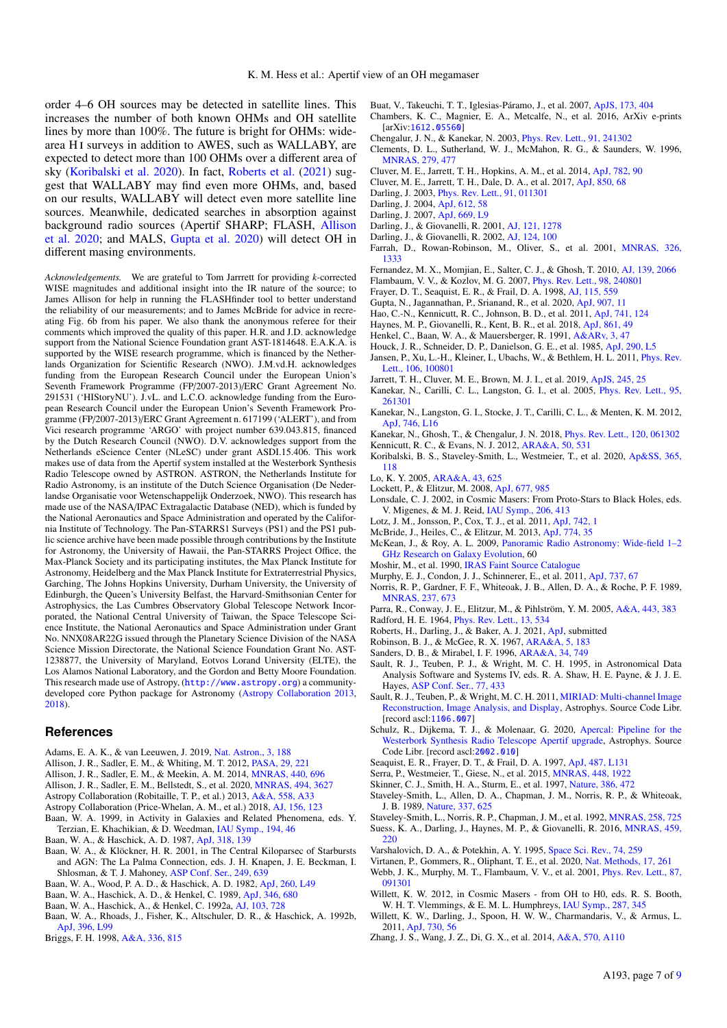order 4–6 OH sources may be detected in satellite lines. This increases the number of both known OHMs and OH satellite lines by more than 100%. The future is bright for OHMs: widearea HI surveys in addition to AWES, such as WALLABY, are expected to detect more than 100 OHMs over a different area of sky [\(Koribalski et al.](#page-7-64) [2020\)](#page-7-64). In fact, [Roberts et al.](#page-7-62) [\(2021\)](#page-7-62) suggest that WALLABY may find even more OHMs, and, based on our results, WALLABY will detect even more satellite line sources. Meanwhile, dedicated searches in absorption against background radio sources (Apertif SHARP; FLASH, [Allison](#page-7-65) [et al.](#page-7-65) [2020;](#page-7-65) and MALS, [Gupta et al.](#page-7-36) [2020\)](#page-7-36) will detect OH in different masing environments.

*Acknowledgements.* We are grateful to Tom Jarrrett for providing *k*-corrected WISE magnitudes and additional insight into the IR nature of the source; to James Allison for help in running the FLASHfinder tool to better understand the reliability of our measurements; and to James McBride for advice in recreating Fig. 6b from his paper. We also thank the anonymous referee for their comments which improved the quality of this paper. H.R. and J.D. acknowledge support from the National Science Foundation grant AST-1814648. E.A.K.A. is supported by the WISE research programme, which is financed by the Netherlands Organization for Scientific Research (NWO). J.M.vd.H. acknowledges funding from the European Research Council under the European Union's Seventh Framework Programme (FP/2007-2013)/ERC Grant Agreement No. 291531 ('HIStoryNU'). J.vL. and L.C.O. acknowledge funding from the European Research Council under the European Union's Seventh Framework Programme (FP/2007-2013)/ERC Grant Agreement n. 617199 ('ALERT'), and from Vici research programme 'ARGO' with project number 639.043.815, financed by the Dutch Research Council (NWO). D.V. acknowledges support from the Netherlands eScience Center (NLeSC) under grant ASDI.15.406. This work makes use of data from the Apertif system installed at the Westerbork Synthesis Radio Telescope owned by ASTRON. ASTRON, the Netherlands Institute for Radio Astronomy, is an institute of the Dutch Science Organisation (De Nederlandse Organisatie voor Wetenschappelijk Onderzoek, NWO). This research has made use of the NASA/IPAC Extragalactic Database (NED), which is funded by the National Aeronautics and Space Administration and operated by the California Institute of Technology. The Pan-STARRS1 Surveys (PS1) and the PS1 public science archive have been made possible through contributions by the Institute for Astronomy, the University of Hawaii, the Pan-STARRS Project Office, the Max-Planck Society and its participating institutes, the Max Planck Institute for Astronomy, Heidelberg and the Max Planck Institute for Extraterrestrial Physics, Garching, The Johns Hopkins University, Durham University, the University of Edinburgh, the Queen's University Belfast, the Harvard-Smithsonian Center for Astrophysics, the Las Cumbres Observatory Global Telescope Network Incorporated, the National Central University of Taiwan, the Space Telescope Science Institute, the National Aeronautics and Space Administration under Grant No. NNX08AR22G issued through the Planetary Science Division of the NASA Science Mission Directorate, the National Science Foundation Grant No. AST-1238877, the University of Maryland, Eotvos Lorand University (ELTE), the Los Alamos National Laboratory, and the Gordon and Betty Moore Foundation. This research made use of Astropy, (<http://www.astropy.org>) a communitydeveloped core Python package for Astronomy [\(Astropy Collaboration](#page-7-66) [2013,](#page-7-66) [2018\)](#page-7-42).

#### **References**

- <span id="page-7-37"></span>Adams, E. A. K., & van Leeuwen, J. 2019, [Nat. Astron., 3, 188](http://linker.aanda.org/10.1051/0004-6361/202040019/1)
- <span id="page-7-68"></span>Allison, J. R., Sadler, E. M., & Whiting, M. T. 2012, [PASA, 29, 221](http://linker.aanda.org/10.1051/0004-6361/202040019/2)
- <span id="page-7-69"></span>Allison, J. R., Sadler, E. M., & Meekin, A. M. 2014, [MNRAS, 440, 696](http://linker.aanda.org/10.1051/0004-6361/202040019/3)
- <span id="page-7-65"></span>Allison, J. R., Sadler, E. M., Bellstedt, S., et al. 2020, [MNRAS, 494, 3627](http://linker.aanda.org/10.1051/0004-6361/202040019/4)
- <span id="page-7-66"></span>Astropy Collaboration (Robitaille, T. P., et al.) 2013, [A&A, 558, A33](http://linker.aanda.org/10.1051/0004-6361/202040019/5)
- <span id="page-7-42"></span>Astropy Collaboration (Price-Whelan, A. M., et al.) 2018, [AJ, 156, 123](http://linker.aanda.org/10.1051/0004-6361/202040019/6)
- <span id="page-7-1"></span>Baan, W. A. 1999, in Activity in Galaxies and Related Phenomena, eds. Y. Terzian, E. Khachikian, & D. Weedman, [IAU Symp., 194, 46](http://linker.aanda.org/10.1051/0004-6361/202040019/7)
- <span id="page-7-20"></span>Baan, W. A., & Haschick, A. D. 1987, [ApJ, 318, 139](http://linker.aanda.org/10.1051/0004-6361/202040019/8)
- <span id="page-7-50"></span>Baan, W. A., & Klöckner, H. R. 2001, in The Central Kiloparsec of Starbursts and AGN: The La Palma Connection, eds. J. H. Knapen, J. E. Beckman, I. Shlosman, & T. J. Mahoney, [ASP Conf. Ser., 249, 639](http://linker.aanda.org/10.1051/0004-6361/202040019/9)
- <span id="page-7-0"></span>Baan, W. A., Wood, P. A. D., & Haschick, A. D. 1982, [ApJ, 260, L49](http://linker.aanda.org/10.1051/0004-6361/202040019/10)
- <span id="page-7-21"></span>Baan, W. A., Haschick, A. D., & Henkel, C. 1989, [ApJ, 346, 680](http://linker.aanda.org/10.1051/0004-6361/202040019/11)
- <span id="page-7-8"></span>Baan, W. A., Haschick, A., & Henkel, C. 1992a, [AJ, 103, 728](http://linker.aanda.org/10.1051/0004-6361/202040019/12)
- <span id="page-7-48"></span>Baan, W. A., Rhoads, J., Fisher, K., Altschuler, D. R., & Haschick, A. 1992b, [ApJ, 396, L99](http://linker.aanda.org/10.1051/0004-6361/202040019/13)
- <span id="page-7-34"></span>Briggs, F. H. 1998, [A&A, 336, 815](http://linker.aanda.org/10.1051/0004-6361/202040019/14)
- <span id="page-7-51"></span>Buat, V., Takeuchi, T. T., Iglesias-Páramo, J., et al. 2007, [ApJS, 173, 404](http://linker.aanda.org/10.1051/0004-6361/202040019/15)
- <span id="page-7-44"></span>Chambers, K. C., Magnier, E. A., Metcalfe, N., et al. 2016, ArXiv e-prints [arXiv:[1612.05560](https://arxiv.org/abs/1612.05560)]
- <span id="page-7-28"></span>Chengalur, J. N., & Kanekar, N. 2003, [Phys. Rev. Lett., 91, 241302](http://linker.aanda.org/10.1051/0004-6361/202040019/17)
- <span id="page-7-45"></span>Clements, D. L., Sutherland, W. J., McMahon, R. G., & Saunders, W. 1996, [MNRAS, 279, 477](http://linker.aanda.org/10.1051/0004-6361/202040019/18)
- <span id="page-7-57"></span>Cluver, M. E., Jarrett, T. H., Hopkins, A. M., et al. 2014, [ApJ, 782, 90](http://linker.aanda.org/10.1051/0004-6361/202040019/19)
- <span id="page-7-56"></span>Cluver, M. E., Jarrett, T. H., Dale, D. A., et al. 2017, [ApJ, 850, 68](http://linker.aanda.org/10.1051/0004-6361/202040019/20)
- <span id="page-7-27"></span>Darling, J. 2003, [Phys. Rev. Lett., 91, 011301](http://linker.aanda.org/10.1051/0004-6361/202040019/21)
- <span id="page-7-24"></span>Darling, J. 2004, [ApJ, 612, 58](http://linker.aanda.org/10.1051/0004-6361/202040019/22)
- <span id="page-7-5"></span>Darling, J. 2007, [ApJ, 669, L9](http://linker.aanda.org/10.1051/0004-6361/202040019/23)
- <span id="page-7-49"></span>Darling, J., & Giovanelli, R. 2001, [AJ, 121, 1278](http://linker.aanda.org/10.1051/0004-6361/202040019/24)
- <span id="page-7-11"></span>Darling, J., & Giovanelli, R. 2002, [AJ, 124, 100](http://linker.aanda.org/10.1051/0004-6361/202040019/25)
- <span id="page-7-46"></span>Farrah, D., Rowan-Robinson, M., Oliver, S., et al. 2001, [MNRAS, 326,](http://linker.aanda.org/10.1051/0004-6361/202040019/26) [1333](http://linker.aanda.org/10.1051/0004-6361/202040019/26)
- <span id="page-7-12"></span>Fernandez, M. X., Momjian, E., Salter, C. J., & Ghosh, T. 2010, [AJ, 139, 2066](http://linker.aanda.org/10.1051/0004-6361/202040019/27)
- <span id="page-7-32"></span>Flambaum, V. V., & Kozlov, M. G. 2007, [Phys. Rev. Lett., 98, 240801](http://linker.aanda.org/10.1051/0004-6361/202040019/28)
- <span id="page-7-23"></span>Frayer, D. T., Seaquist, E. R., & Frail, D. A. 1998, [AJ, 115, 559](http://linker.aanda.org/10.1051/0004-6361/202040019/29)
- <span id="page-7-36"></span>Gupta, N., Jagannathan, P., Srianand, R., et al. 2020, [ApJ, 907, 11](http://linker.aanda.org/10.1051/0004-6361/202040019/30)
- <span id="page-7-60"></span>Hao, C.-N., Kennicutt, R. C., Johnson, B. D., et al. 2011, [ApJ, 741, 124](http://linker.aanda.org/10.1051/0004-6361/202040019/31)
- <span id="page-7-43"></span>Haynes, M. P., Giovanelli, R., Kent, B. R., et al. 2018, [ApJ, 861, 49](http://linker.aanda.org/10.1051/0004-6361/202040019/32)
- <span id="page-7-3"></span>Henkel, C., Baan, W. A., & Mauersberger, R. 1991, [A&ARv, 3, 47](http://linker.aanda.org/10.1051/0004-6361/202040019/33)
- <span id="page-7-58"></span>Houck, J. R., Schneider, D. P., Danielson, G. E., et al. 1985, [ApJ, 290, L5](http://linker.aanda.org/10.1051/0004-6361/202040019/34)
- <span id="page-7-33"></span>Jansen, P., Xu, L.-H., Kleiner, I., Ubachs, W., & Bethlem, H. L. 2011, [Phys. Rev.](http://linker.aanda.org/10.1051/0004-6361/202040019/35) [Lett., 106, 100801](http://linker.aanda.org/10.1051/0004-6361/202040019/35)
- <span id="page-7-53"></span>Jarrett, T. H., Cluver, M. E., Brown, M. J. I., et al. 2019, [ApJS, 245, 25](http://linker.aanda.org/10.1051/0004-6361/202040019/36)
- <span id="page-7-25"></span>Kanekar, N., Carilli, C. L., Langston, G. I., et al. 2005, [Phys. Rev. Lett., 95,](http://linker.aanda.org/10.1051/0004-6361/202040019/37) [261301](http://linker.aanda.org/10.1051/0004-6361/202040019/37)
- <span id="page-7-30"></span>Kanekar, N., Langston, G. I., Stocke, J. T., Carilli, C. L., & Menten, K. M. 2012, [ApJ, 746, L16](http://linker.aanda.org/10.1051/0004-6361/202040019/38)
- <span id="page-7-31"></span>Kanekar, N., Ghosh, T., & Chengalur, J. N. 2018, [Phys. Rev. Lett., 120, 061302](http://linker.aanda.org/10.1051/0004-6361/202040019/39)
- <span id="page-7-55"></span>Kennicutt, R. C., & Evans, N. J. 2012, [ARA&A, 50, 531](http://linker.aanda.org/10.1051/0004-6361/202040019/40)
- <span id="page-7-64"></span>Koribalski, B. S., Staveley-Smith, L., Westmeier, T., et al. 2020, [Ap&SS, 365,](http://linker.aanda.org/10.1051/0004-6361/202040019/41) [118](http://linker.aanda.org/10.1051/0004-6361/202040019/41)
- <span id="page-7-6"></span>Lo, K. Y. 2005, [ARA&A, 43, 625](http://linker.aanda.org/10.1051/0004-6361/202040019/42)
- <span id="page-7-17"></span>Lockett, P., & Elitzur, M. 2008, [ApJ, 677, 985](http://linker.aanda.org/10.1051/0004-6361/202040019/43)
- <span id="page-7-18"></span>Lonsdale, C. J. 2002, in Cosmic Masers: From Proto-Stars to Black Holes, eds. V. Migenes, & M. J. Reid, [IAU Symp., 206, 413](http://linker.aanda.org/10.1051/0004-6361/202040019/44)
- <span id="page-7-63"></span>Lotz, J. M., Jonsson, P., Cox, T. J., et al. 2011, [ApJ, 742, 1](http://linker.aanda.org/10.1051/0004-6361/202040019/45)
- <span id="page-7-15"></span>McBride, J., Heiles, C., & Elitzur, M. 2013, [ApJ, 774, 35](http://linker.aanda.org/10.1051/0004-6361/202040019/46)
- <span id="page-7-7"></span>McKean, J., & Roy, A. L. 2009, [Panoramic Radio Astronomy: Wide-field 1–2](http://linker.aanda.org/10.1051/0004-6361/202040019/47) [GHz Research on Galaxy Evolution,](http://linker.aanda.org/10.1051/0004-6361/202040019/47) 60
- <span id="page-7-52"></span>Moshir, M., et al. 1990, [IRAS Faint Source Catalogue](http://linker.aanda.org/10.1051/0004-6361/202040019/48)
- <span id="page-7-59"></span>Murphy, E. J., Condon, J. J., Schinnerer, E., et al. 2011, [ApJ, 737, 67](http://linker.aanda.org/10.1051/0004-6361/202040019/49)
- <span id="page-7-10"></span>Norris, R. P., Gardner, F. F., Whiteoak, J. B., Allen, D. A., & Roche, P. F. 1989, [MNRAS, 237, 673](http://linker.aanda.org/10.1051/0004-6361/202040019/50)

<span id="page-7-16"></span>Parra, R., Conway, J. E., Elitzur, M., & Pihlström, Y. M. 2005, [A&A, 443, 383](http://linker.aanda.org/10.1051/0004-6361/202040019/51)

- <span id="page-7-14"></span>Radford, H. E. 1964, [Phys. Rev. Lett., 13, 534](http://linker.aanda.org/10.1051/0004-6361/202040019/52)
- <span id="page-7-62"></span>Roberts, H., Darling, J., & Baker, A. J. 2021, [ApJ,](http://linker.aanda.org/10.1051/0004-6361/202040019/53) submitted
- <span id="page-7-61"></span>Robinson, B. J., & McGee, R. X. 1967, [ARA&A, 5, 183](http://linker.aanda.org/10.1051/0004-6361/202040019/54)
- <span id="page-7-54"></span>Sanders, D. B., & Mirabel, I. F. 1996, [ARA&A, 34, 749](http://linker.aanda.org/10.1051/0004-6361/202040019/55)
- <span id="page-7-40"></span>Sault, R. J., Teuben, P. J., & Wright, M. C. H. 1995, in Astronomical Data Analysis Software and Systems IV, eds. R. A. Shaw, H. E. Payne, & J. J. E. Hayes, [ASP Conf. Ser., 77, 433](http://linker.aanda.org/10.1051/0004-6361/202040019/56)
- <span id="page-7-41"></span>Sault, R. J., Teuben, P., & Wright, M. C. H. 2011, [MIRIAD: Multi-channel Image](http://linker.aanda.org/10.1051/0004-6361/202040019/57) [Reconstruction, Image Analysis, and Display,](http://linker.aanda.org/10.1051/0004-6361/202040019/57) Astrophys. Source Code Libr. [record ascl:[1106.007](http://ascl.net/1106.007)]
- <span id="page-7-38"></span>Schulz, R., Dijkema, T. J., & Molenaar, G. 2020, [Apercal: Pipeline for the](http://linker.aanda.org/10.1051/0004-6361/202040019/58) [Westerbork Synthesis Radio Telescope Apertif upgrade,](http://linker.aanda.org/10.1051/0004-6361/202040019/58) Astrophys. Source Code Libr. [record ascl:[2002.010](http://ascl.net/2002.010)]
- <span id="page-7-22"></span>Seaquist, E. R., Frayer, D. T., & Frail, D. A. 1997, [ApJ, 487, L131](http://linker.aanda.org/10.1051/0004-6361/202040019/59)
- <span id="page-7-39"></span>Serra, P., Westmeier, T., Giese, N., et al. 2015, [MNRAS, 448, 1922](http://linker.aanda.org/10.1051/0004-6361/202040019/60)
- <span id="page-7-4"></span>Skinner, C. J., Smith, H. A., Sturm, E., et al. 1997, [Nature, 386, 472](http://linker.aanda.org/10.1051/0004-6361/202040019/61)
- <span id="page-7-47"></span>Staveley-Smith, L., Allen, D. A., Chapman, J. M., Norris, R. P., & Whiteoak, J. B. 1989, [Nature, 337, 625](http://linker.aanda.org/10.1051/0004-6361/202040019/62)
- <span id="page-7-9"></span>Staveley-Smith, L., Norris, R. P., Chapman, J. M., et al. 1992, [MNRAS, 258, 725](http://linker.aanda.org/10.1051/0004-6361/202040019/63)
- <span id="page-7-35"></span>Suess, K. A., Darling, J., Haynes, M. P., & Giovanelli, R. 2016, [MNRAS, 459,](http://linker.aanda.org/10.1051/0004-6361/202040019/64) [220](http://linker.aanda.org/10.1051/0004-6361/202040019/64)
- <span id="page-7-26"></span>Varshalovich, D. A., & Potekhin, A. Y. 1995, [Space Sci. Rev., 74, 259](http://linker.aanda.org/10.1051/0004-6361/202040019/65)
- <span id="page-7-67"></span>Virtanen, P., Gommers, R., Oliphant, T. E., et al. 2020, [Nat. Methods, 17, 261](http://linker.aanda.org/10.1051/0004-6361/202040019/66)
- <span id="page-7-29"></span>Webb, J. K., Murphy, M. T., Flambaum, V. V., et al. 2001, [Phys. Rev. Lett., 87,](http://linker.aanda.org/10.1051/0004-6361/202040019/67) [091301](http://linker.aanda.org/10.1051/0004-6361/202040019/67)
- <span id="page-7-13"></span>Willett, K. W. 2012, in Cosmic Masers - from OH to H0, eds. R. S. Booth, W. H. T. Vlemmings, & E. M. L. Humphreys, [IAU Symp., 287, 345](http://linker.aanda.org/10.1051/0004-6361/202040019/68)
- <span id="page-7-19"></span>Willett, K. W., Darling, J., Spoon, H. W. W., Charmandaris, V., & Armus, L. 2011, [ApJ, 730, 56](http://linker.aanda.org/10.1051/0004-6361/202040019/69)
- <span id="page-7-2"></span>Zhang, J. S., Wang, J. Z., Di, G. X., et al. 2014, [A&A, 570, A110](http://linker.aanda.org/10.1051/0004-6361/202040019/70)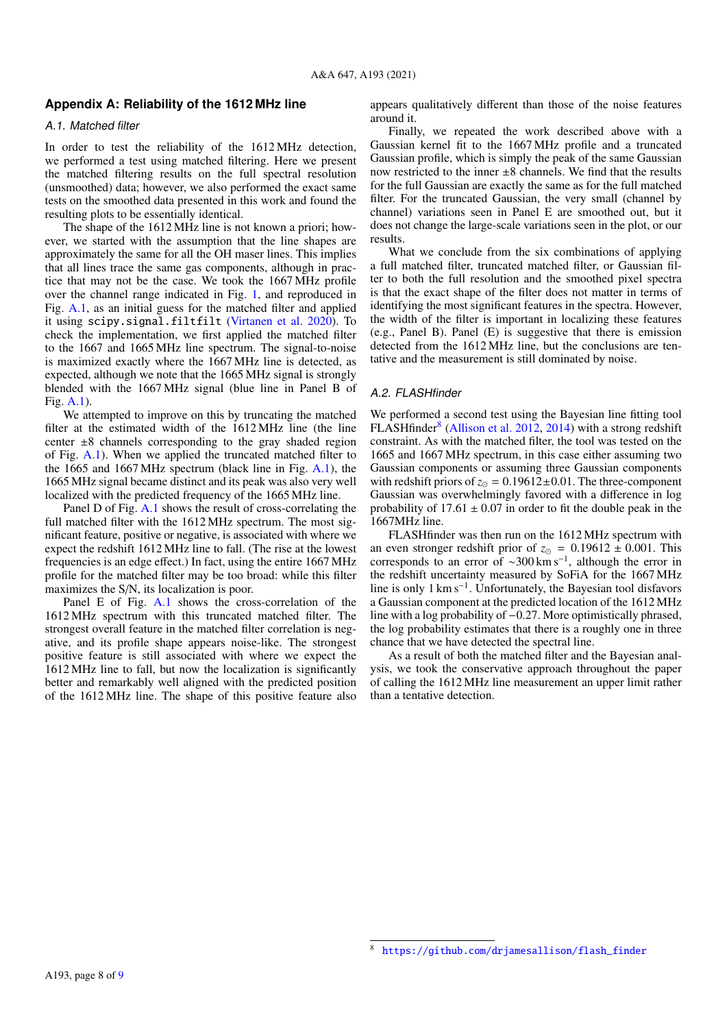## <span id="page-8-0"></span>**Appendix A: Reliability of the 1612 MHz line**

#### A.1. Matched filter

In order to test the reliability of the 1612 MHz detection, we performed a test using matched filtering. Here we present the matched filtering results on the full spectral resolution (unsmoothed) data; however, we also performed the exact same tests on the smoothed data presented in this work and found the resulting plots to be essentially identical.

The shape of the 1612 MHz line is not known a priori; however, we started with the assumption that the line shapes are approximately the same for all the OH maser lines. This implies that all lines trace the same gas components, although in practice that may not be the case. We took the 1667 MHz profile over the channel range indicated in Fig. [1,](#page-4-0) and reproduced in Fig. [A.1,](#page-9-0) as an initial guess for the matched filter and applied it using scipy.signal.filtfilt [\(Virtanen et al.](#page-7-67) [2020\)](#page-7-67). To check the implementation, we first applied the matched filter to the 1667 and 1665 MHz line spectrum. The signal-to-noise is maximized exactly where the 1667 MHz line is detected, as expected, although we note that the 1665 MHz signal is strongly blended with the 1667 MHz signal (blue line in Panel B of Fig. [A.1\)](#page-9-0).

We attempted to improve on this by truncating the matched filter at the estimated width of the 1612 MHz line (the line center  $\pm 8$  channels corresponding to the gray shaded region of Fig. [A.1\)](#page-9-0). When we applied the truncated matched filter to the 1665 and 1667 MHz spectrum (black line in Fig. [A.1\)](#page-9-0), the 1665 MHz signal became distinct and its peak was also very well localized with the predicted frequency of the 1665 MHz line.

Panel D of Fig. [A.1](#page-9-0) shows the result of cross-correlating the full matched filter with the 1612 MHz spectrum. The most significant feature, positive or negative, is associated with where we expect the redshift 1612 MHz line to fall. (The rise at the lowest frequencies is an edge effect.) In fact, using the entire 1667 MHz profile for the matched filter may be too broad: while this filter maximizes the S/N, its localization is poor.

Panel E of Fig. [A.1](#page-9-0) shows the cross-correlation of the 1612 MHz spectrum with this truncated matched filter. The strongest overall feature in the matched filter correlation is negative, and its profile shape appears noise-like. The strongest positive feature is still associated with where we expect the 1612 MHz line to fall, but now the localization is significantly better and remarkably well aligned with the predicted position of the 1612 MHz line. The shape of this positive feature also

appears qualitatively different than those of the noise features around it.

Finally, we repeated the work described above with a Gaussian kernel fit to the 1667 MHz profile and a truncated Gaussian profile, which is simply the peak of the same Gaussian now restricted to the inner  $\pm 8$  channels. We find that the results for the full Gaussian are exactly the same as for the full matched filter. For the truncated Gaussian, the very small (channel by channel) variations seen in Panel E are smoothed out, but it does not change the large-scale variations seen in the plot, or our results.

What we conclude from the six combinations of applying a full matched filter, truncated matched filter, or Gaussian filter to both the full resolution and the smoothed pixel spectra is that the exact shape of the filter does not matter in terms of identifying the most significant features in the spectra. However, the width of the filter is important in localizing these features (e.g., Panel B). Panel (E) is suggestive that there is emission detected from the 1612 MHz line, but the conclusions are tentative and the measurement is still dominated by noise.

#### A.2. FLASHfinder

We performed a second test using the Bayesian line fitting tool FLASHfinder<sup>[8](#page-8-1)</sup> [\(Allison et al.](#page-7-68) [2012,](#page-7-68) [2014\)](#page-7-69) with a strong redshift constraint. As with the matched filter, the tool was tested on the 1665 and 1667 MHz spectrum, in this case either assuming two Gaussian components or assuming three Gaussian components with redshift priors of  $z_{\odot} = 0.19612 \pm 0.01$ . The three-component Gaussian was overwhelmingly favored with a difference in log probability of  $17.61 \pm 0.07$  in order to fit the double peak in the 1667MHz line.

FLASHfinder was then run on the 1612 MHz spectrum with<br>an even stronger redshift prior of  $z_0 = 0.19612 \pm 0.001$ . This an even stronger redshift prior of  $z_{\odot} = 0.19612 \pm 0.001$ . This corresponds to an error of ∼300 km s<sup>-1</sup>, although the error in the redshift uncertainty measured by SoFiA for the 1667 MHz line is only 1 km s<sup>−</sup><sup>1</sup> . Unfortunately, the Bayesian tool disfavors a Gaussian component at the predicted location of the 1612 MHz line with a log probability of −0.27. More optimistically phrased, the log probability estimates that there is a roughly one in three chance that we have detected the spectral line.

As a result of both the matched filter and the Bayesian analysis, we took the conservative approach throughout the paper of calling the 1612 MHz line measurement an upper limit rather than a tentative detection.

<span id="page-8-1"></span><sup>8</sup> [https://github.com/drjamesallison/flash\\_finder](https://github.com/drjamesallison/flash_finder)